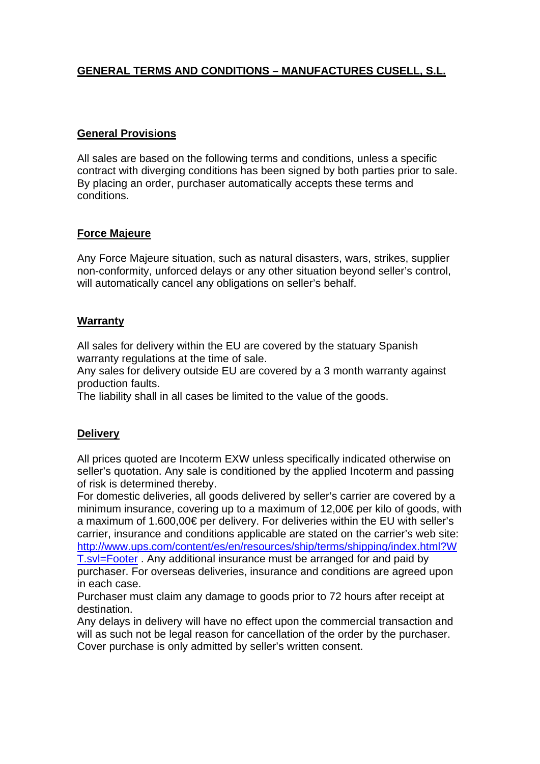# **GENERAL TERMS AND CONDITIONS – MANUFACTURES CUSELL, S.L.**

### **General Provisions**

All sales are based on the following terms and conditions, unless a specific contract with diverging conditions has been signed by both parties prior to sale. By placing an order, purchaser automatically accepts these terms and conditions.

# **Force Majeure**

Any Force Majeure situation, such as natural disasters, wars, strikes, supplier non-conformity, unforced delays or any other situation beyond seller's control, will automatically cancel any obligations on seller's behalf.

#### **Warranty**

All sales for delivery within the EU are covered by the statuary Spanish warranty regulations at the time of sale.

Any sales for delivery outside EU are covered by a 3 month warranty against production faults.

The liability shall in all cases be limited to the value of the goods.

#### **Delivery**

All prices quoted are Incoterm EXW unless specifically indicated otherwise on seller's quotation. Any sale is conditioned by the applied Incoterm and passing of risk is determined thereby.

For domestic deliveries, all goods delivered by seller's carrier are covered by a minimum insurance, covering up to a maximum of 12,00€ per kilo of goods, with a maximum of 1.600,00€ per delivery. For deliveries within the EU with seller's carrier, insurance and conditions applicable are stated on the carrier's web site: [http://www.ups.com/content/es/en/resources/ship/terms/shipping/index.html?W](http://www.ups.com/content/es/en/resources/ship/terms/shipping/index.html?WT.svl=Footer) [T.svl=Footer](http://www.ups.com/content/es/en/resources/ship/terms/shipping/index.html?WT.svl=Footer) . Any additional insurance must be arranged for and paid by purchaser. For overseas deliveries, insurance and conditions are agreed upon in each case.

Purchaser must claim any damage to goods prior to 72 hours after receipt at destination.

Any delays in delivery will have no effect upon the commercial transaction and will as such not be legal reason for cancellation of the order by the purchaser. Cover purchase is only admitted by seller's written consent.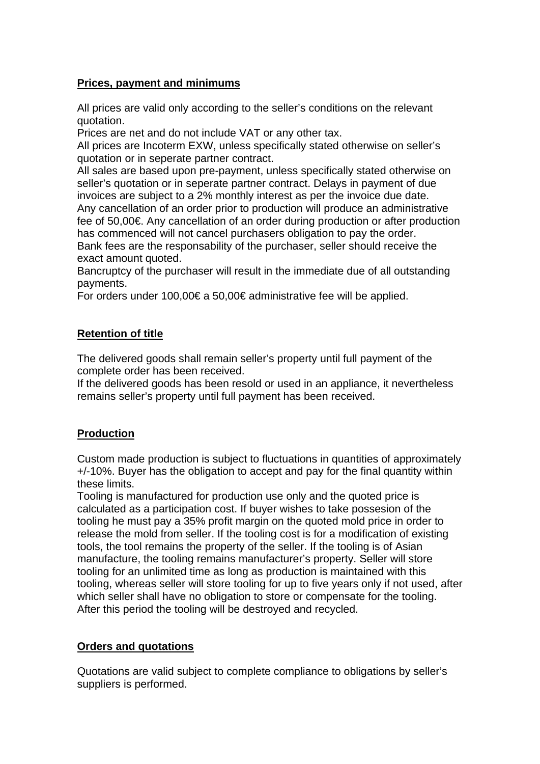### **Prices, payment and minimums**

All prices are valid only according to the seller's conditions on the relevant quotation.

Prices are net and do not include VAT or any other tax.

All prices are Incoterm EXW, unless specifically stated otherwise on seller's quotation or in seperate partner contract.

All sales are based upon pre-payment, unless specifically stated otherwise on seller's quotation or in seperate partner contract. Delays in payment of due invoices are subject to a 2% monthly interest as per the invoice due date. Any cancellation of an order prior to production will produce an administrative fee of 50,00€. Any cancellation of an order during production or after production has commenced will not cancel purchasers obligation to pay the order. Bank fees are the responsability of the purchaser, seller should receive the

exact amount quoted.

Bancruptcy of the purchaser will result in the immediate due of all outstanding payments.

For orders under 100,00€ a 50,00€ administrative fee will be applied.

# **Retention of title**

The delivered goods shall remain seller's property until full payment of the complete order has been received.

If the delivered goods has been resold or used in an appliance, it nevertheless remains seller's property until full payment has been received.

# **Production**

Custom made production is subject to fluctuations in quantities of approximately +/-10%. Buyer has the obligation to accept and pay for the final quantity within these limits.

Tooling is manufactured for production use only and the quoted price is calculated as a participation cost. If buyer wishes to take possesion of the tooling he must pay a 35% profit margin on the quoted mold price in order to release the mold from seller. If the tooling cost is for a modification of existing tools, the tool remains the property of the seller. If the tooling is of Asian manufacture, the tooling remains manufacturer's property. Seller will store tooling for an unlimited time as long as production is maintained with this tooling, whereas seller will store tooling for up to five years only if not used, after which seller shall have no obligation to store or compensate for the tooling. After this period the tooling will be destroyed and recycled.

# **Orders and quotations**

Quotations are valid subject to complete compliance to obligations by seller's suppliers is performed.